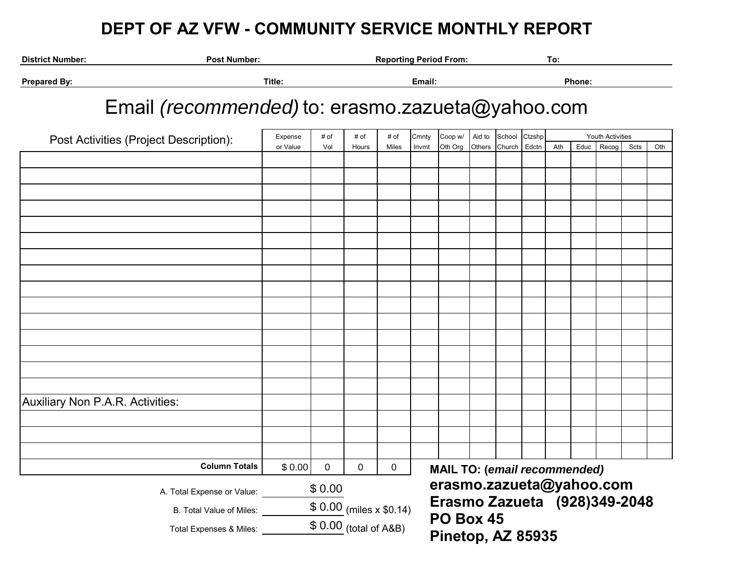## **DEPT OF AZ VFW - COMMUNITY SERVICE MONTHLY REPORT**

| <b>District Number:</b>                             | <b>Post Number:</b>                              |          |                        |       | <b>Reporting Period From:</b> |                              |                                       |        |        |        | To: |                         |       |      |     |  |
|-----------------------------------------------------|--------------------------------------------------|----------|------------------------|-------|-------------------------------|------------------------------|---------------------------------------|--------|--------|--------|-----|-------------------------|-------|------|-----|--|
| <b>Prepared By:</b>                                 | Title:                                           |          | Email:                 |       |                               |                              |                                       | Phone: |        |        |     |                         |       |      |     |  |
|                                                     | Email (recommended) to: erasmo.zazueta@yahoo.com |          |                        |       |                               |                              |                                       |        |        |        |     |                         |       |      |     |  |
|                                                     | Post Activities (Project Description):           | Expense  | # of                   | # of  | # of                          | Cmnty                        | Coop w/                               | Aid to | School | Ctzshp |     | <b>Youth Activities</b> |       |      |     |  |
|                                                     |                                                  | or Value | Vol                    | Hours | Miles                         | Invmt                        | Oth Org                               | Others | Church | Edctn  | Ath | Educ                    | Recog | Scts | Oth |  |
|                                                     |                                                  |          |                        |       |                               |                              |                                       |        |        |        |     |                         |       |      |     |  |
|                                                     |                                                  |          |                        |       |                               |                              |                                       |        |        |        |     |                         |       |      |     |  |
|                                                     |                                                  |          |                        |       |                               |                              |                                       |        |        |        |     |                         |       |      |     |  |
|                                                     |                                                  |          |                        |       |                               |                              |                                       |        |        |        |     |                         |       |      |     |  |
|                                                     |                                                  |          |                        |       |                               |                              |                                       |        |        |        |     |                         |       |      |     |  |
|                                                     |                                                  |          |                        |       |                               |                              |                                       |        |        |        |     |                         |       |      |     |  |
|                                                     |                                                  |          |                        |       |                               |                              |                                       |        |        |        |     |                         |       |      |     |  |
|                                                     |                                                  |          |                        |       |                               |                              |                                       |        |        |        |     |                         |       |      |     |  |
|                                                     |                                                  |          |                        |       |                               |                              |                                       |        |        |        |     |                         |       |      |     |  |
|                                                     |                                                  |          |                        |       |                               |                              |                                       |        |        |        |     |                         |       |      |     |  |
|                                                     |                                                  |          |                        |       |                               |                              |                                       |        |        |        |     |                         |       |      |     |  |
|                                                     |                                                  |          |                        |       |                               |                              |                                       |        |        |        |     |                         |       |      |     |  |
|                                                     |                                                  |          |                        |       |                               |                              |                                       |        |        |        |     |                         |       |      |     |  |
|                                                     |                                                  |          |                        |       |                               |                              |                                       |        |        |        |     |                         |       |      |     |  |
|                                                     |                                                  |          |                        |       |                               |                              |                                       |        |        |        |     |                         |       |      |     |  |
|                                                     |                                                  |          |                        |       |                               |                              |                                       |        |        |        |     |                         |       |      |     |  |
| Auxiliary Non P.A.R. Activities:                    |                                                  |          |                        |       |                               |                              |                                       |        |        |        |     |                         |       |      |     |  |
|                                                     |                                                  |          |                        |       |                               |                              |                                       |        |        |        |     |                         |       |      |     |  |
|                                                     |                                                  |          |                        |       |                               |                              |                                       |        |        |        |     |                         |       |      |     |  |
|                                                     |                                                  |          |                        |       |                               |                              |                                       |        |        |        |     |                         |       |      |     |  |
|                                                     | <b>Column Totals</b>                             | \$0.00   | 0                      | 0     | 0                             |                              | <b>MAIL TO: (email recommended)</b>   |        |        |        |     |                         |       |      |     |  |
|                                                     | \$0.00<br>A. Total Expense or Value: _           |          |                        |       |                               | erasmo.zazueta@yahoo.com     |                                       |        |        |        |     |                         |       |      |     |  |
|                                                     | $$0.00$ (miles x $$0.14$ )                       |          |                        |       |                               | Erasmo Zazueta (928)349-2048 |                                       |        |        |        |     |                         |       |      |     |  |
| B. Total Value of Miles:<br>Total Expenses & Miles: |                                                  |          | $$0.00$ (total of A&B) |       |                               |                              | <b>PO Box 45</b><br>Pinetop, AZ 85935 |        |        |        |     |                         |       |      |     |  |
|                                                     |                                                  |          |                        |       |                               |                              |                                       |        |        |        |     |                         |       |      |     |  |